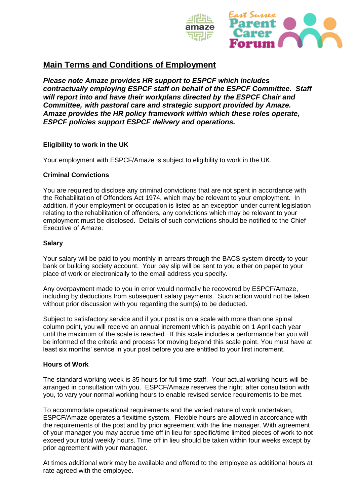

*Please note Amaze provides HR support to ESPCF which includes contractually employing ESPCF staff on behalf of the ESPCF Committee. Staff will report into and have their workplans directed by the ESPCF Chair and Committee, with pastoral care and strategic support provided by Amaze. Amaze provides the HR policy framework within which these roles operate, ESPCF policies support ESPCF delivery and operations.* 

## **Eligibility to work in the UK**

Your employment with ESPCF/Amaze is subject to eligibility to work in the UK.

## **Criminal Convictions**

You are required to disclose any criminal convictions that are not spent in accordance with the Rehabilitation of Offenders Act 1974, which may be relevant to your employment. In addition, if your employment or occupation is listed as an exception under current legislation relating to the rehabilitation of offenders, any convictions which may be relevant to your employment must be disclosed. Details of such convictions should be notified to the Chief Executive of Amaze.

## **Salary**

Your salary will be paid to you monthly in arrears through the BACS system directly to your bank or building society account. Your pay slip will be sent to you either on paper to your place of work or electronically to the email address you specify.

Any overpayment made to you in error would normally be recovered by ESPCF/Amaze, including by deductions from subsequent salary payments. Such action would not be taken without prior discussion with you regarding the sum(s) to be deducted.

Subject to satisfactory service and if your post is on a scale with more than one spinal column point, you will receive an annual increment which is payable on 1 April each year until the maximum of the scale is reached. If this scale includes a performance bar you will be informed of the criteria and process for moving beyond this scale point. You must have at least six months' service in your post before you are entitled to your first increment.

## **Hours of Work**

The standard working week is 35 hours for full time staff. Your actual working hours will be arranged in consultation with you. ESPCF/Amaze reserves the right, after consultation with you, to vary your normal working hours to enable revised service requirements to be met.

To accommodate operational requirements and the varied nature of work undertaken, ESPCF/Amaze operates a flexitime system. Flexible hours are allowed in accordance with the requirements of the post and by prior agreement with the line manager. With agreement of your manager you may accrue time off in lieu for specific/time limited pieces of work to not exceed your total weekly hours. Time off in lieu should be taken within four weeks except by prior agreement with your manager.

At times additional work may be available and offered to the employee as additional hours at rate agreed with the employee.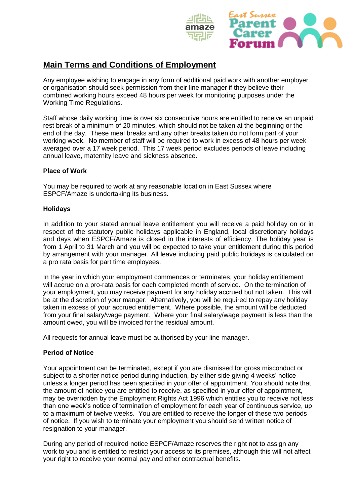

Any employee wishing to engage in any form of additional paid work with another employer or organisation should seek permission from their line manager if they believe their combined working hours exceed 48 hours per week for monitoring purposes under the Working Time Regulations.

Staff whose daily working time is over six consecutive hours are entitled to receive an unpaid rest break of a minimum of 20 minutes, which should not be taken at the beginning or the end of the day. These meal breaks and any other breaks taken do not form part of your working week. No member of staff will be required to work in excess of 48 hours per week averaged over a 17 week period. This 17 week period excludes periods of leave including annual leave, maternity leave and sickness absence.

## **Place of Work**

You may be required to work at any reasonable location in East Sussex where ESPCF/Amaze is undertaking its business.

#### **Holidays**

In addition to your stated annual leave entitlement you will receive a paid holiday on or in respect of the statutory public holidays applicable in England, local discretionary holidays and days when ESPCF/Amaze is closed in the interests of efficiency. The holiday year is from 1 April to 31 March and you will be expected to take your entitlement during this period by arrangement with your manager. All leave including paid public holidays is calculated on a pro rata basis for part time employees.

In the year in which your employment commences or terminates, your holiday entitlement will accrue on a pro-rata basis for each completed month of service. On the termination of your employment, you may receive payment for any holiday accrued but not taken. This will be at the discretion of your manger. Alternatively, you will be required to repay any holiday taken in excess of your accrued entitlement. Where possible, the amount will be deducted from your final salary/wage payment. Where your final salary/wage payment is less than the amount owed, you will be invoiced for the residual amount.

All requests for annual leave must be authorised by your line manager.

## **Period of Notice**

Your appointment can be terminated, except if you are dismissed for gross misconduct or subject to a shorter notice period during induction, by either side giving 4 weeks' notice unless a longer period has been specified in your offer of appointment. You should note that the amount of notice you are entitled to receive, as specified in your offer of appointment, may be overridden by the Employment Rights Act 1996 which entitles you to receive not less than one week's notice of termination of employment for each year of continuous service, up to a maximum of twelve weeks. You are entitled to receive the longer of these two periods of notice. If you wish to terminate your employment you should send written notice of resignation to your manager.

During any period of required notice ESPCF/Amaze reserves the right not to assign any work to you and is entitled to restrict your access to its premises, although this will not affect your right to receive your normal pay and other contractual benefits.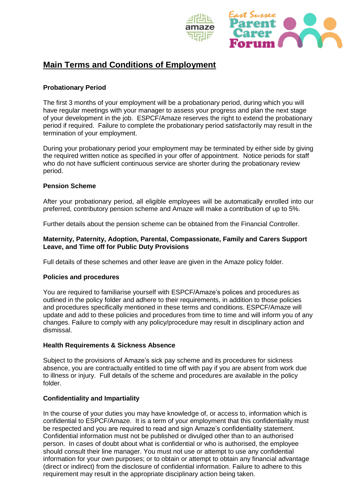

## **Probationary Period**

The first 3 months of your employment will be a probationary period, during which you will have regular meetings with your manager to assess your progress and plan the next stage of your development in the job. ESPCF/Amaze reserves the right to extend the probationary period if required. Failure to complete the probationary period satisfactorily may result in the termination of your employment.

During your probationary period your employment may be terminated by either side by giving the required written notice as specified in your offer of appointment. Notice periods for staff who do not have sufficient continuous service are shorter during the probationary review period.

#### **Pension Scheme**

After your probationary period, all eligible employees will be automatically enrolled into our preferred, contributory pension scheme and Amaze will make a contribution of up to 5%.

Further details about the pension scheme can be obtained from the Financial Controller.

#### **Maternity, Paternity, Adoption, Parental, Compassionate, Family and Carers Support Leave, and Time off for Public Duty Provisions**

Full details of these schemes and other leave are given in the Amaze policy folder.

## **Policies and procedures**

You are required to familiarise yourself with ESPCF/Amaze's polices and procedures as outlined in the policy folder and adhere to their requirements, in addition to those policies and procedures specifically mentioned in these terms and conditions. ESPCF/Amaze will update and add to these policies and procedures from time to time and will inform you of any changes. Failure to comply with any policy/procedure may result in disciplinary action and dismissal.

## **Health Requirements & Sickness Absence**

Subject to the provisions of Amaze's sick pay scheme and its procedures for sickness absence, you are contractually entitled to time off with pay if you are absent from work due to illness or injury. Full details of the scheme and procedures are available in the policy folder.

## **Confidentiality and Impartiality**

In the course of your duties you may have knowledge of, or access to, information which is confidential to ESPCF/Amaze. It is a term of your employment that this confidentiality must be respected and you are required to read and sign Amaze's confidentiality statement. Confidential information must not be published or divulged other than to an authorised person. In cases of doubt about what is confidential or who is authorised, the employee should consult their line manager. You must not use or attempt to use any confidential information for your own purposes; or to obtain or attempt to obtain any financial advantage (direct or indirect) from the disclosure of confidential information. Failure to adhere to this requirement may result in the appropriate disciplinary action being taken.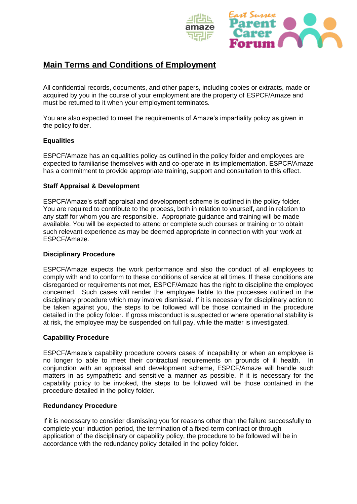

All confidential records, documents, and other papers, including copies or extracts, made or acquired by you in the course of your employment are the property of ESPCF/Amaze and must be returned to it when your employment terminates.

You are also expected to meet the requirements of Amaze's impartiality policy as given in the policy folder.

## **Equalities**

ESPCF/Amaze has an equalities policy as outlined in the policy folder and employees are expected to familiarise themselves with and co-operate in its implementation. ESPCF/Amaze has a commitment to provide appropriate training, support and consultation to this effect.

## **Staff Appraisal & Development**

ESPCF/Amaze's staff appraisal and development scheme is outlined in the policy folder. You are required to contribute to the process, both in relation to yourself, and in relation to any staff for whom you are responsible. Appropriate guidance and training will be made available. You will be expected to attend or complete such courses or training or to obtain such relevant experience as may be deemed appropriate in connection with your work at ESPCF/Amaze.

#### **Disciplinary Procedure**

ESPCF/Amaze expects the work performance and also the conduct of all employees to comply with and to conform to these conditions of service at all times. If these conditions are disregarded or requirements not met, ESPCF/Amaze has the right to discipline the employee concerned. Such cases will render the employee liable to the processes outlined in the disciplinary procedure which may involve dismissal. If it is necessary for disciplinary action to be taken against you, the steps to be followed will be those contained in the procedure detailed in the policy folder. If gross misconduct is suspected or where operational stability is at risk, the employee may be suspended on full pay, while the matter is investigated.

## **Capability Procedure**

ESPCF/Amaze's capability procedure covers cases of incapability or when an employee is no longer to able to meet their contractual requirements on grounds of ill health. In conjunction with an appraisal and development scheme, ESPCF/Amaze will handle such matters in as sympathetic and sensitive a manner as possible. If it is necessary for the capability policy to be invoked, the steps to be followed will be those contained in the procedure detailed in the policy folder.

## **Redundancy Procedure**

If it is necessary to consider dismissing you for reasons other than the failure successfully to complete your induction period, the termination of a fixed-term contract or through application of the disciplinary or capability policy, the procedure to be followed will be in accordance with the redundancy policy detailed in the policy folder.